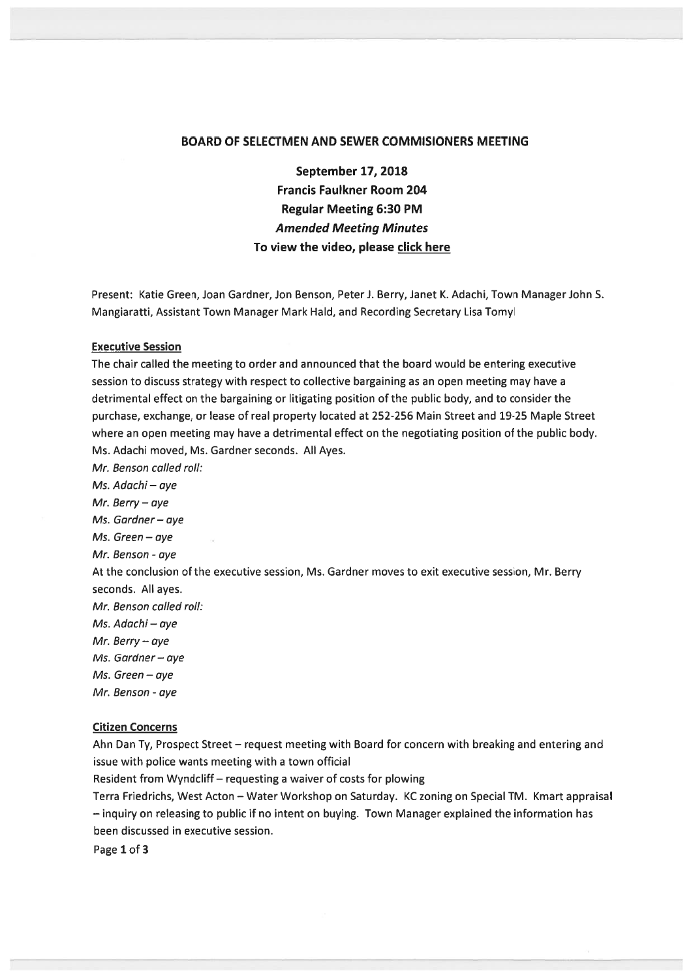## BOARD OF SELECTMEN AND SEWER COMMISIONERS MEETING

September 17, 2018 Francis Faulkner Room 204 Regular Meeting 6:30 PM Amended Meeting Minutes To view the video, please click here

Present: Katie Green, Joan Gardner, Jon Benson, Peter J. Berry, Janet K. Adachi, Town Manager John S. Mangiaratti, Assistant Town Manager Mark Hald, and Recording Secretary Lisa Tomyl

#### Executive Session

The chair called the meeting to order and announced that the board would be entering executive session to discuss strategy with respec<sup>t</sup> to collective bargaining as an open meeting may have <sup>a</sup> detrimental effect on the bargaining or litigating position of the public body, and to consider the purchase, exchange, or lease of real property located at 252-256 Main Street and 19-25 Maple Street where an open meeting may have <sup>a</sup> detrimental effect on the negotiating position of the public body. Ms. Adachi moved, Ms. Gardner seconds. All Ayes.

Mr. Benson called roll: Ms. Adachi — aye Mr. Berry — aye Ms. Gardner—aye Ms. Green — aye Mr. Benson - aye At the conclusion of the executive session, Ms. Gardner moves to exit executive session, Mr. Berry seconds. All ayes. Mr. Benson called roll: Ms. Adachi — aye Mr. Berry — aye Ms. Gardner — aye Ms. Green — aye Mr. Benson - aye

#### Citizen Concerns

Ahn Dan Ty, Prospect Street — reques<sup>t</sup> meeting with Board for concern with breaking and entering and issue with police wants meeting with <sup>a</sup> town official

Resident from Wyndcliff— requesting <sup>a</sup> waiver of costs for plowing

Terra Friedrichs, West Acton — Water Workshop on Saturday. KC zoning on Special TM. Kmart appraisal — inquiry on releasing to public if no intent on buying. Town Manager explained the information has been discussed in executive session.

Page 1 of 3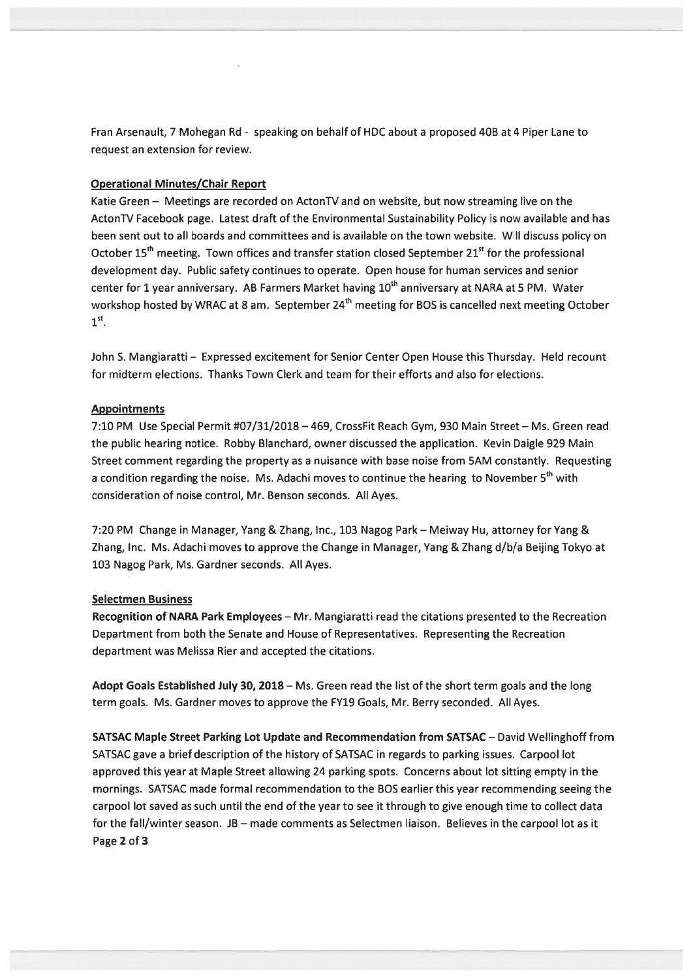Fran Arsenault, 7 Mohegan Rd - speaking on behalf of HDC about a proposed 40B at 4 Piper Lane to reques<sup>t</sup> an extension for review.

# Operational Minutes/Chair Report

Katie Green — Meetings are recorded on ActonTV and on website, but now streaming live on the ActonTV Facebook page. Latest draft of the Environmental Sustainability Policy is now available and has been sent out to all boards and committees and is available on the town website. Will discuss policy on October 15<sup>th</sup> meeting. Town offices and transfer station closed September 21<sup>st</sup> for the professional development day. Public safety continues to operate. Open house for human services and senior center for 1 year anniversary. AB Farmers Market having 10<sup>th</sup> anniversary at NARA at 5 PM. Water workshop hosted by WRAC at 8 am. September 24<sup>th</sup> meeting for BOS is cancelled next meeting October  $1<sup>st</sup>$ .

John S. Mangiaratti — Expressed excitement for Senior Center Open House this Thursday. Held recount for midterm elections. Thanks Town Clerk and team for their efforts and also for elections.

## Appointments

7:10 PM Use Special Permit #07/31/2018 —469, CrossFit Reach Gym, 930 Main Street — Ms. Green read the public hearing notice. Robby Blanchard, owner discussed the application. Kevin Daigle 929 Main Street comment regarding the property as <sup>a</sup> nuisance with base noise from SAM constantly. Requesting a condition regarding the noise. Ms. Adachi moves to continue the hearing to November 5<sup>th</sup> with consideration of noise control, Mr. Benson seconds. All Ayes.

7:20 PM Change in Manager, Yang & Zhang, Inc., 103 Nagog Park — Meiway Hu, attorney for Yang & Zhang, Inc. Ms. Adachi moves to approve the Change in Manager, Yang & Zhang d/b/a Beijing Tokyo at 103 Nagog Park, Ms. Gardner seconds. All Ayes.

### Selectmen Business

Recognition of NARA Park Employees — Mr. Mangiaratti read the citations presented to the Recreation Department from both the Senate and House of Representatives. Representing the Recreation department was Melissa Rier and accepted the citations.

Adopt Goals Established July 30, 2018 – Ms. Green read the list of the short term goals and the long term goals. Ms. Gardner moves to approve the FY19 Goals, Mr. Berry seconded. All Ayes.

SATSAC Maple Street Parking Lot Update and Recommendation from SATSAC — David Wellinghoff from SATSAC gave <sup>a</sup> brief description of the history of SATSAC in regards to parking issues. Carpool lot approved this year at Maple Street allowing 24 parking spots. Concerns about lot sitting empty in the mornings. SATSAC made formal recommendation to the BOS earlier this year recommending seeing the carpool lot saved as such until the end of the year to see it through to give enough time to collect data for the fall/winter season. JB — made comments as Selectmen liaison. Believes in the carpool lot as it Page 2 of 3